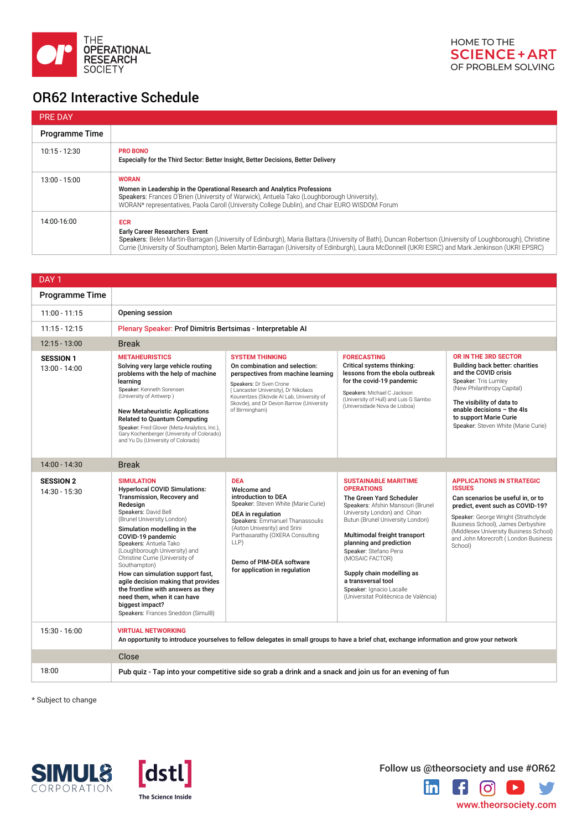| DAY <sub>1</sub>                    |                                                                                                                                                                                                                                                                                                                                                                                                                                                                                                                                      |                                                                                                                                                                                                                                                                                                |                                                                                                                                                                                                                                                                                                                                                                                                                       |                                                                                                                                                                                                                                                                                                     |
|-------------------------------------|--------------------------------------------------------------------------------------------------------------------------------------------------------------------------------------------------------------------------------------------------------------------------------------------------------------------------------------------------------------------------------------------------------------------------------------------------------------------------------------------------------------------------------------|------------------------------------------------------------------------------------------------------------------------------------------------------------------------------------------------------------------------------------------------------------------------------------------------|-----------------------------------------------------------------------------------------------------------------------------------------------------------------------------------------------------------------------------------------------------------------------------------------------------------------------------------------------------------------------------------------------------------------------|-----------------------------------------------------------------------------------------------------------------------------------------------------------------------------------------------------------------------------------------------------------------------------------------------------|
| <b>Programme Time</b>               |                                                                                                                                                                                                                                                                                                                                                                                                                                                                                                                                      |                                                                                                                                                                                                                                                                                                |                                                                                                                                                                                                                                                                                                                                                                                                                       |                                                                                                                                                                                                                                                                                                     |
| $11:00 - 11:15$                     | <b>Opening session</b>                                                                                                                                                                                                                                                                                                                                                                                                                                                                                                               |                                                                                                                                                                                                                                                                                                |                                                                                                                                                                                                                                                                                                                                                                                                                       |                                                                                                                                                                                                                                                                                                     |
| $11:15 - 12:15$                     | Plenary Speaker: Prof Dimitris Bertsimas - Interpretable AI                                                                                                                                                                                                                                                                                                                                                                                                                                                                          |                                                                                                                                                                                                                                                                                                |                                                                                                                                                                                                                                                                                                                                                                                                                       |                                                                                                                                                                                                                                                                                                     |
| $12:15 - 13:00$                     | <b>Break</b>                                                                                                                                                                                                                                                                                                                                                                                                                                                                                                                         |                                                                                                                                                                                                                                                                                                |                                                                                                                                                                                                                                                                                                                                                                                                                       |                                                                                                                                                                                                                                                                                                     |
| <b>SESSION 1</b><br>$13:00 - 14:00$ | <b>METAHEURISTICS</b><br>Solving very large vehicle routing<br>problems with the help of machine<br>learning<br>Speaker: Kenneth Sorensen<br>(University of Antwerp)<br><b>New Metaheuristic Applications</b><br><b>Related to Quantum Computing</b><br>Speaker: Fred Glover (Meta-Analytics, Inc.),<br>Gary Kochenberger (University of Colorado)<br>and Yu Du (University of Colorado)                                                                                                                                             | <b>SYSTEM THINKING</b><br>On combination and selection:<br>perspectives from machine learning<br>Speakers: Dr Sven Crone<br>(Lancaster University), Dr Nikolaos<br>Kourentzes (Skövde AI Lab, University of<br>Skovde), and Dr Devon Barrow (University<br>of Birmingham)                      | <b>FORECASTING</b><br><b>Critical systems thinking:</b><br>lessons from the ebola outbreak<br>for the covid-19 pandemic<br>Speakers: Michael C Jackson<br>(University of Hull) and Luis G Sambo<br>(Universidade Nova de Lisboa)                                                                                                                                                                                      | <b>OR IN THE 3RD SECTOR</b><br><b>Building back better: charities</b><br>and the COVID crisis<br>Speaker: Tris Lumley<br>(New Philanthropy Capital)<br>The visibility of data to<br>enable decisions $-$ the 4ls<br>to support Marie Curie<br>Speaker: Steven White (Marie Curie)                   |
| $14:00 - 14:30$                     | <b>Break</b>                                                                                                                                                                                                                                                                                                                                                                                                                                                                                                                         |                                                                                                                                                                                                                                                                                                |                                                                                                                                                                                                                                                                                                                                                                                                                       |                                                                                                                                                                                                                                                                                                     |
| <b>SESSION 2</b><br>14:30 - 15:30   | <b>SIMULATION</b><br><b>Hyperlocal COVID Simulations:</b><br>Transmission, Recovery and<br>Redesign<br>Speakers: David Bell<br>(Brunel University London)<br>Simulation modelling in the<br>COVID-19 pandemic<br>Speakers: Antuela Tako<br>(Loughborough University) and<br>Christine Currie (University of<br>Southampton)<br>How can simulation support fast,<br>agile decision making that provides<br>the frontline with answers as they<br>need them, when it can have<br>biggest impact?<br>Speakers: Frances Sneddon (Simul8) | <b>DEA</b><br>Welcome and<br>introduction to DEA<br>Speaker: Steven White (Marie Curie)<br><b>DEA</b> in regulation<br>Speakers: Emmanuel Thanassoulis<br>(Aston Univesrity) and Srini<br>Parthasarathy (OXERA Consulting<br>LLP)<br>Demo of PIM-DEA software<br>for application in regulation | <b>SUSTAINABLE MARITIME</b><br><b>OPERATIONS</b><br>The Green Yard Scheduler<br>Speakers: Afshin Mansouri (Brunel<br>University London) and Cihan<br>Butun (Brunel University London)<br>Multimodal freight transport<br>planning and prediction<br>Speaker: Stefano Persi<br>(MOSAIC FACTOR)<br>Supply chain modelling as<br>a transversal tool<br>Speaker: Ignacio Lacalle<br>(Universitat Politècnica de València) | <b>APPLICATIONS IN STRATEGIC</b><br><b>ISSUES</b><br>Can scenarios be useful in, or to<br>predict, event such as COVID-19?<br>Speaker: George Wright (Strathclyde<br>Business School), James Derbyshire<br>(Middlesex University Business School)<br>and John Morecroft (London Business<br>School) |

| 15:30 - 16:00 | <b>VIRTUAL NETWORKING</b><br>An opportunity to introduce yourselves to fellow delegates in small groups to have a brief chat, exchange information and grow your network |
|---------------|--------------------------------------------------------------------------------------------------------------------------------------------------------------------------|
|               | Close                                                                                                                                                                    |
| 18:00         | Pub quiz - Tap into your competitive side so grab a drink and a snack and join us for an evening of fun                                                                  |

Follow us @theorsociety and use #OR62  $\mathbf{in}$  $\boxed{\textcolor{blue}{\textcolor{blue}{\textcolor{blue}{\textbf{O}}}}}$ V  $\left| \cdot \right|$  $\blacktriangleright$ 

| <b>PRE DAY</b>        |                                                                                                                                                                                                                                                                                                                                                                    |
|-----------------------|--------------------------------------------------------------------------------------------------------------------------------------------------------------------------------------------------------------------------------------------------------------------------------------------------------------------------------------------------------------------|
| <b>Programme Time</b> |                                                                                                                                                                                                                                                                                                                                                                    |
| $10:15 - 12:30$       | <b>PRO BONO</b><br>Especially for the Third Sector: Better Insight, Better Decisions, Better Delivery                                                                                                                                                                                                                                                              |
| 13:00 - 15:00         | <b>WORAN</b><br>Women in Leadership in the Operational Research and Analytics Professions<br>Speakers: Frances O'Brien (University of Warwick), Antuela Tako (Loughborough University),<br>WORAN* representatives, Paola Caroll (University College Dublin), and Chair EURO WISDOM Forum                                                                           |
| 14:00-16:00           | <b>ECR</b><br><b>Early Career Researchers Event</b><br>Speakers: Belen Martin-Barragan (University of Edinburgh), Maria Battara (University of Bath), Duncan Robertson (University of Loughborough), Christine<br>Currie (University of Southampton), Belen Martin-Barragan (University of Edinburgh), Laura McDonnell (UKRI ESRC) and Mark Jenkinson (UKRI EPSRC) |





\* Subject to change





The Science Inside

www.theorsociety.com

## OR62 Interactive Schedule